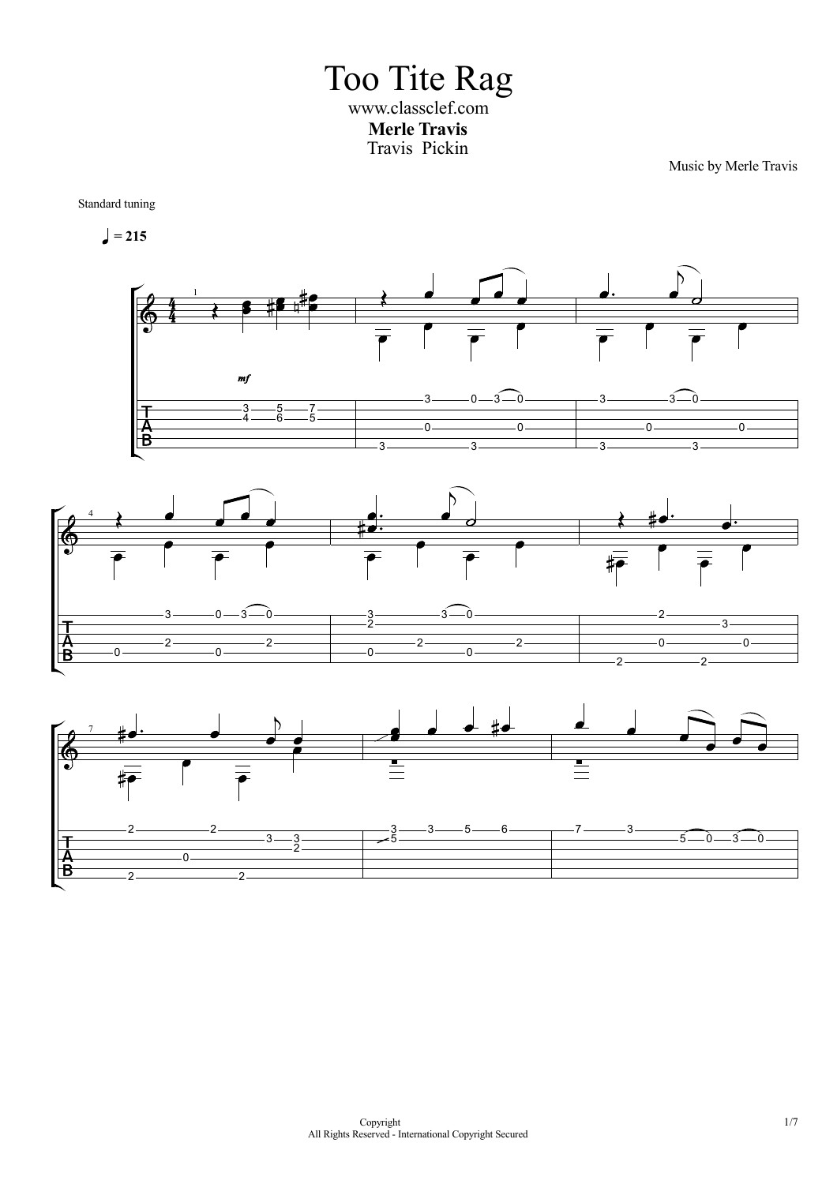## Too Tite Rag www.classclef.com **Merle Travis** Travis Pickin

Music by Merle Travis

Standard tuning

 $= 215$ 





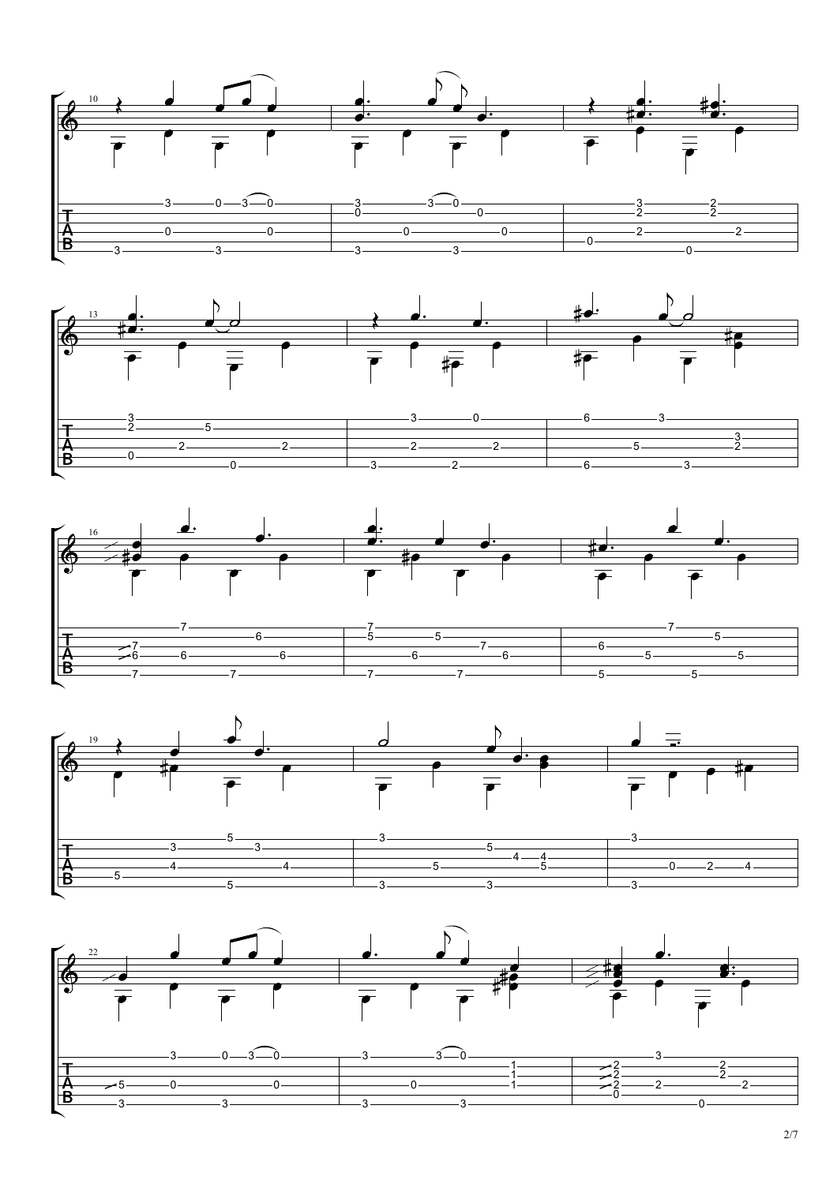







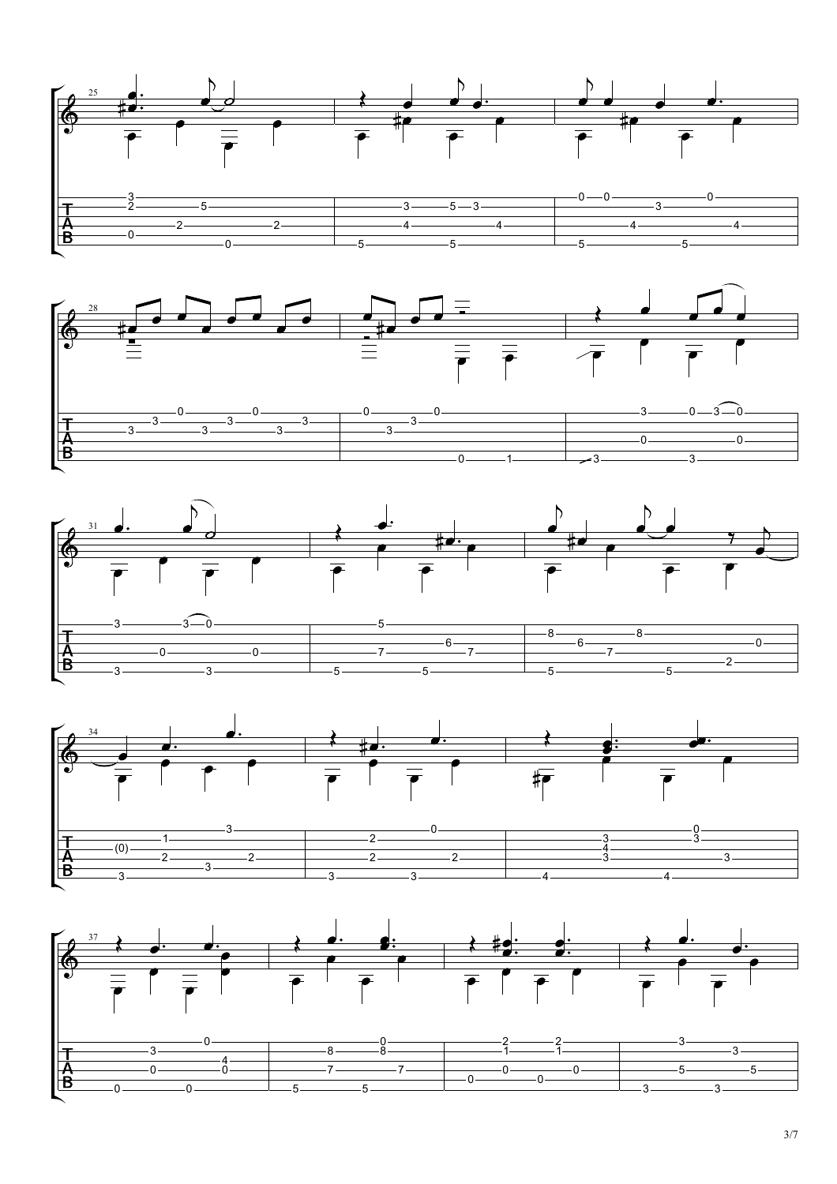







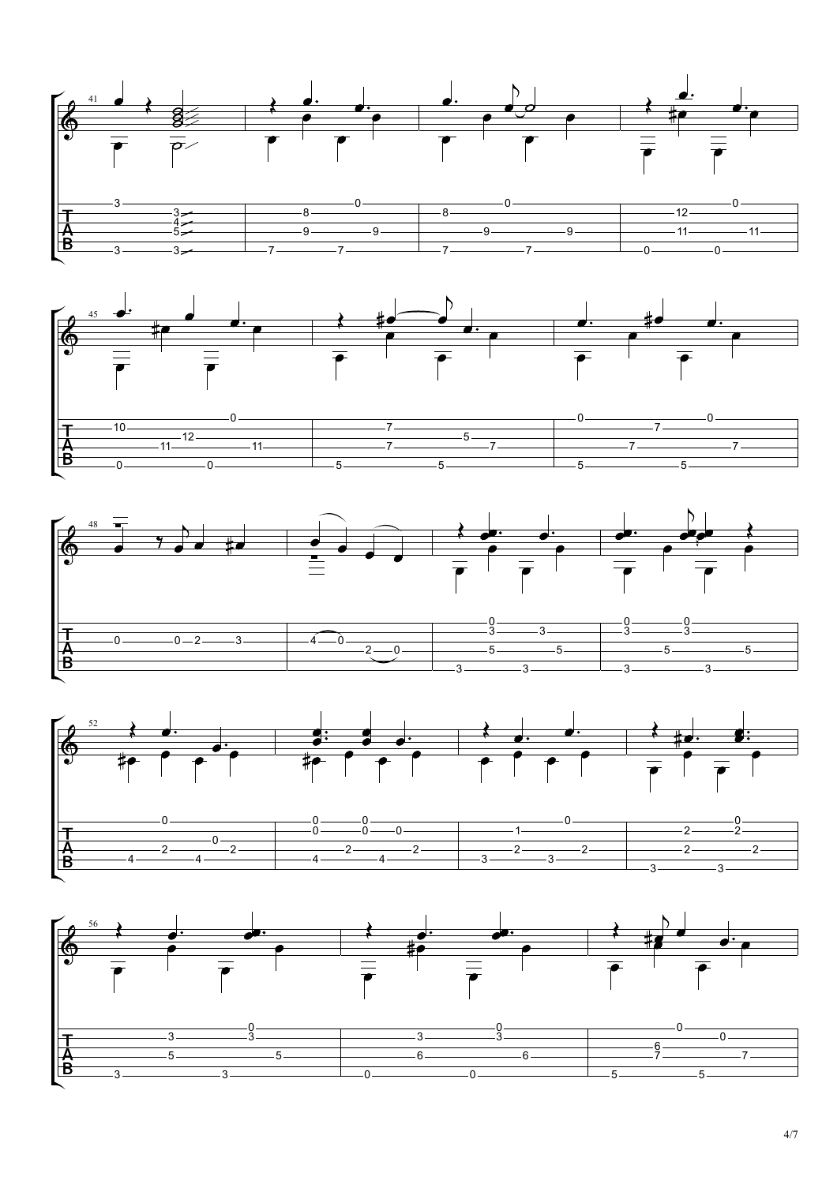







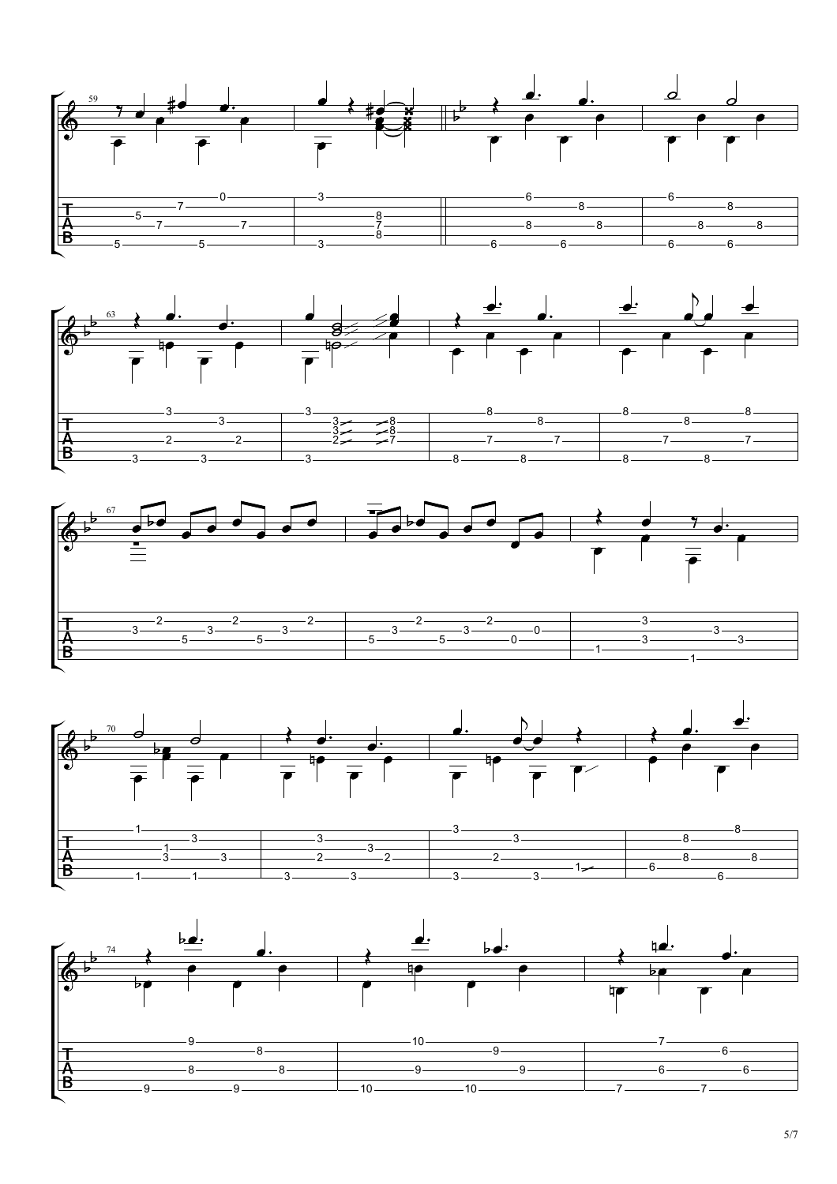







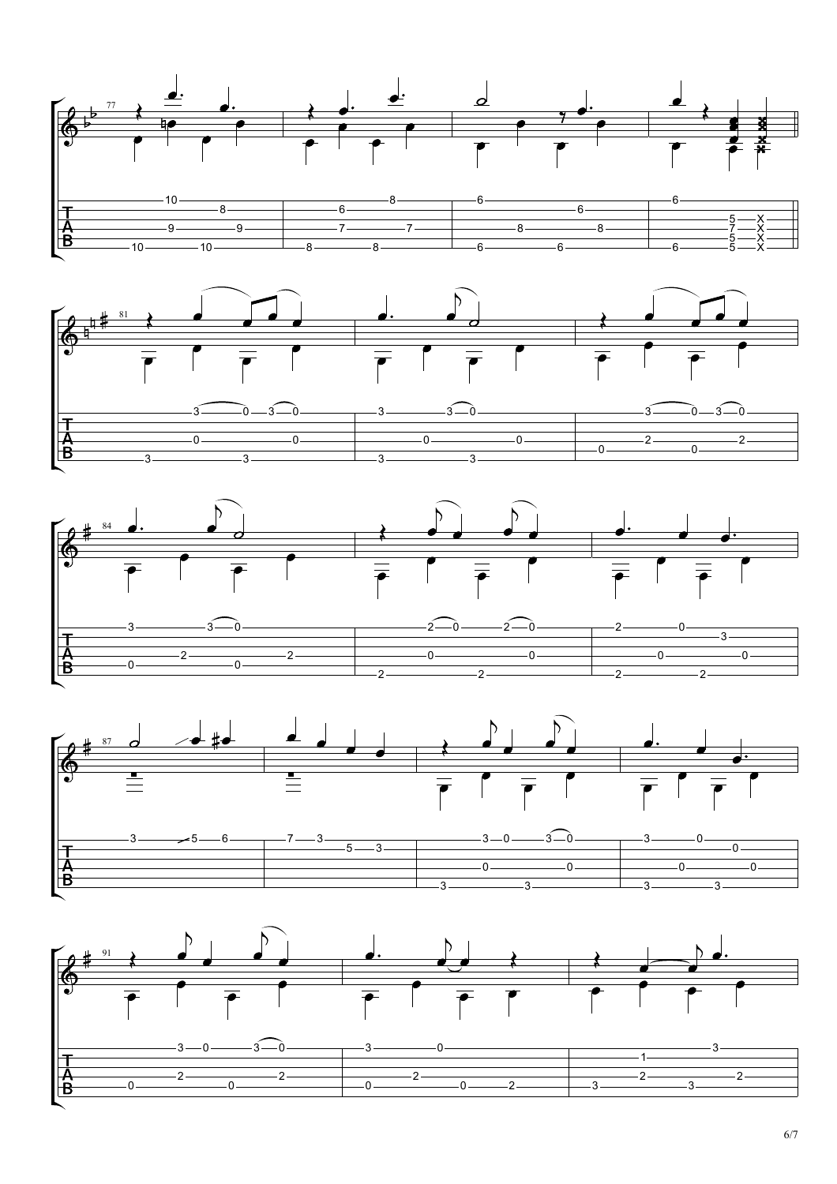